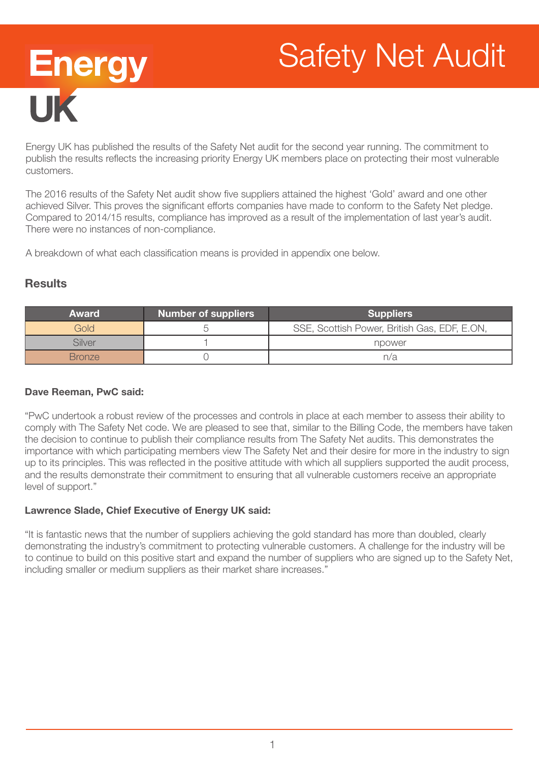# Safety Net Audit



Energy UK has published the results of the Safety Net audit for the second year running. The commitment to publish the results reflects the increasing priority Energy UK members place on protecting their most vulnerable customers.

The 2016 results of the Safety Net audit show five suppliers attained the highest 'Gold' award and one other achieved Silver. This proves the significant efforts companies have made to conform to the Safety Net pledge. Compared to 2014/15 results, compliance has improved as a result of the implementation of last year's audit. There were no instances of non-compliance.

A breakdown of what each classification means is provided in appendix one below.

# **Results**

| <b>Award</b>  | <b>Number of suppliers</b> | <b>Suppliers</b>                             |  |
|---------------|----------------------------|----------------------------------------------|--|
| Gold          |                            | SSE, Scottish Power, British Gas, EDF, E.ON, |  |
| Silver        |                            | npower                                       |  |
| <b>Bronze</b> |                            | n/a                                          |  |

# Dave Reeman, PwC said:

"PwC undertook a robust review of the processes and controls in place at each member to assess their ability to comply with The Safety Net code. We are pleased to see that, similar to the Billing Code, the members have taken the decision to continue to publish their compliance results from The Safety Net audits. This demonstrates the importance with which participating members view The Safety Net and their desire for more in the industry to sign up to its principles. This was reflected in the positive attitude with which all suppliers supported the audit process, and the results demonstrate their commitment to ensuring that all vulnerable customers receive an appropriate level of support."

#### Lawrence Slade, Chief Executive of Energy UK said:

"It is fantastic news that the number of suppliers achieving the gold standard has more than doubled, clearly demonstrating the industry's commitment to protecting vulnerable customers. A challenge for the industry will be to continue to build on this positive start and expand the number of suppliers who are signed up to the Safety Net, including smaller or medium suppliers as their market share increases."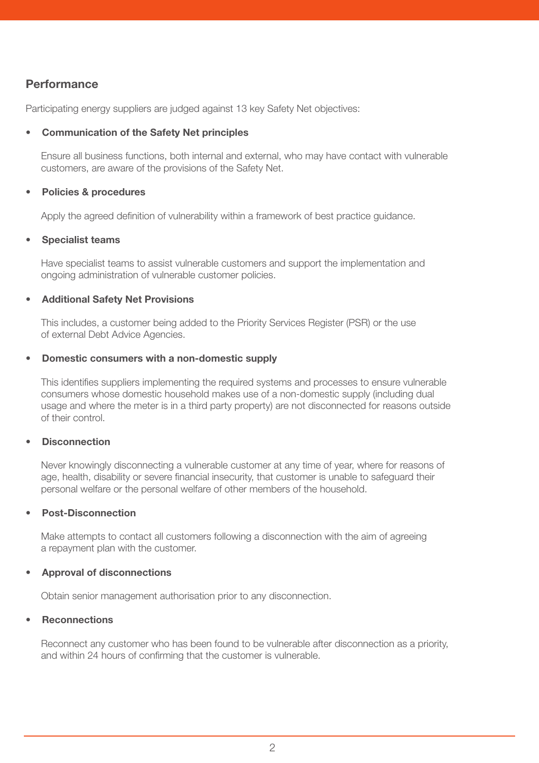# **Performance**

Participating energy suppliers are judged against 13 key Safety Net objectives:

#### • Communication of the Safety Net principles

Ensure all business functions, both internal and external, who may have contact with vulnerable customers, are aware of the provisions of the Safety Net.

#### Policies & procedures

Apply the agreed definition of vulnerability within a framework of best practice guidance.

#### • Specialist teams

Have specialist teams to assist vulnerable customers and support the implementation and ongoing administration of vulnerable customer policies.

#### • Additional Safety Net Provisions

This includes, a customer being added to the Priority Services Register (PSR) or the use of external Debt Advice Agencies.

#### • Domestic consumers with a non-domestic supply

This identifies suppliers implementing the required systems and processes to ensure vulnerable consumers whose domestic household makes use of a non-domestic supply (including dual usage and where the meter is in a third party property) are not disconnected for reasons outside of their control.

#### **Disconnection**

Never knowingly disconnecting a vulnerable customer at any time of year, where for reasons of age, health, disability or severe financial insecurity, that customer is unable to safeguard their personal welfare or the personal welfare of other members of the household.

#### • Post-Disconnection

Make attempts to contact all customers following a disconnection with the aim of agreeing a repayment plan with the customer.

#### • Approval of disconnections

Obtain senior management authorisation prior to any disconnection.

#### **Reconnections**

Reconnect any customer who has been found to be vulnerable after disconnection as a priority, and within 24 hours of confirming that the customer is vulnerable.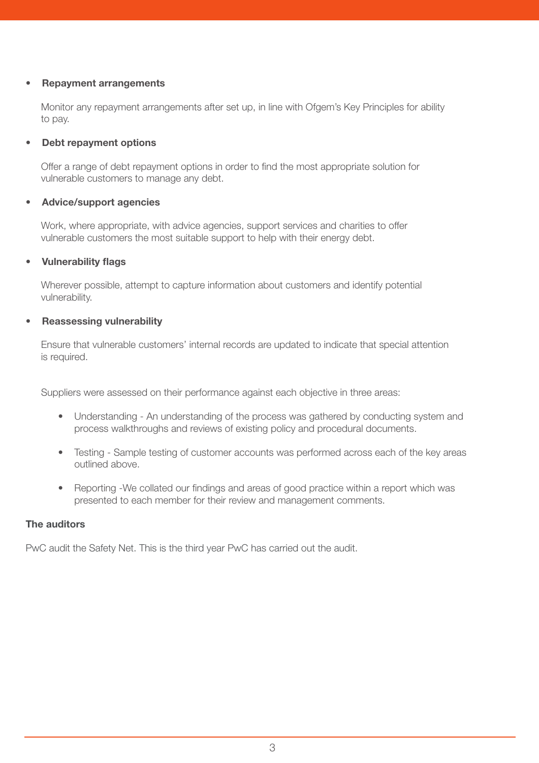#### • Repayment arrangements

Monitor any repayment arrangements after set up, in line with Ofgem's Key Principles for ability to pay.

#### Debt repayment options

Offer a range of debt repayment options in order to find the most appropriate solution for vulnerable customers to manage any debt.

#### • Advice/support agencies

Work, where appropriate, with advice agencies, support services and charities to offer vulnerable customers the most suitable support to help with their energy debt.

# • Vulnerability flags

Wherever possible, attempt to capture information about customers and identify potential vulnerability.

# • Reassessing vulnerability

Ensure that vulnerable customers' internal records are updated to indicate that special attention is required.

Suppliers were assessed on their performance against each objective in three areas:

- Understanding An understanding of the process was gathered by conducting system and process walkthroughs and reviews of existing policy and procedural documents.
- Testing Sample testing of customer accounts was performed across each of the key areas outlined above.
- Reporting -We collated our findings and areas of good practice within a report which was presented to each member for their review and management comments.

#### The auditors

PwC audit the Safety Net. This is the third year PwC has carried out the audit.